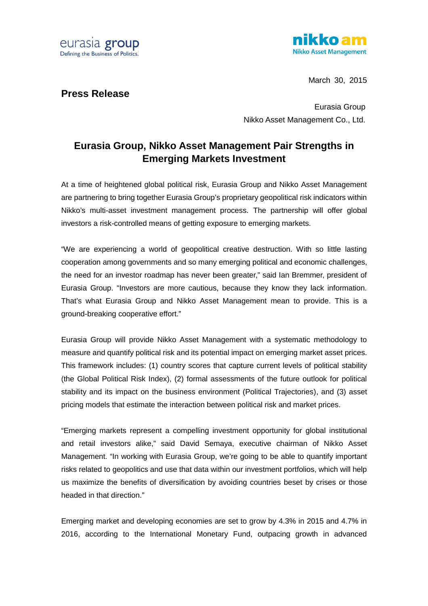



March 30, 2015

**Press Release**

Eurasia Group Nikko Asset Management Co., Ltd.

## **Eurasia Group, Nikko Asset Management Pair Strengths in Emerging Markets Investment**

At a time of heightened global political risk, Eurasia Group and Nikko Asset Management are partnering to bring together Eurasia Group's proprietary geopolitical risk indicators within Nikko's multi-asset investment management process. The partnership will offer global investors a risk-controlled means of getting exposure to emerging markets.

"We are experiencing a world of geopolitical creative destruction. With so little lasting cooperation among governments and so many emerging political and economic challenges, the need for an investor roadmap has never been greater," said Ian Bremmer, president of Eurasia Group. "Investors are more cautious, because they know they lack information. That's what Eurasia Group and Nikko Asset Management mean to provide. This is a ground-breaking cooperative effort."

Eurasia Group will provide Nikko Asset Management with a systematic methodology to measure and quantify political risk and its potential impact on emerging market asset prices. This framework includes: (1) country scores that capture current levels of political stability (the Global Political Risk Index), (2) formal assessments of the future outlook for political stability and its impact on the business environment (Political Trajectories), and (3) asset pricing models that estimate the interaction between political risk and market prices.

"Emerging markets represent a compelling investment opportunity for global institutional and retail investors alike," said David Semaya, executive chairman of Nikko Asset Management. "In working with Eurasia Group, we're going to be able to quantify important risks related to geopolitics and use that data within our investment portfolios, which will help us maximize the benefits of diversification by avoiding countries beset by crises or those headed in that direction."

Emerging market and developing economies are set to grow by 4.3% in 2015 and 4.7% in 2016, according to the International Monetary Fund, outpacing growth in advanced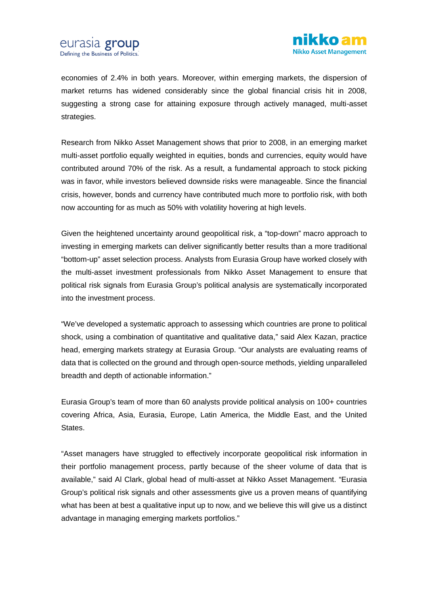

economies of 2.4% in both years. Moreover, within emerging markets, the dispersion of market returns has widened considerably since the global financial crisis hit in 2008, suggesting a strong case for attaining exposure through actively managed, multi-asset strategies.

Research from Nikko Asset Management shows that prior to 2008, in an emerging market multi-asset portfolio equally weighted in equities, bonds and currencies, equity would have contributed around 70% of the risk. As a result, a fundamental approach to stock picking was in favor, while investors believed downside risks were manageable. Since the financial crisis, however, bonds and currency have contributed much more to portfolio risk, with both now accounting for as much as 50% with volatility hovering at high levels.

Given the heightened uncertainty around geopolitical risk, a "top-down" macro approach to investing in emerging markets can deliver significantly better results than a more traditional "bottom-up" asset selection process. Analysts from Eurasia Group have worked closely with the multi-asset investment professionals from Nikko Asset Management to ensure that political risk signals from Eurasia Group's political analysis are systematically incorporated into the investment process.

"We've developed a systematic approach to assessing which countries are prone to political shock, using a combination of quantitative and qualitative data," said Alex Kazan, practice head, emerging markets strategy at Eurasia Group. "Our analysts are evaluating reams of data that is collected on the ground and through open-source methods, yielding unparalleled breadth and depth of actionable information."

Eurasia Group's team of more than 60 analysts provide political analysis on 100+ countries covering Africa, Asia, Eurasia, Europe, Latin America, the Middle East, and the United States.

"Asset managers have struggled to effectively incorporate geopolitical risk information in their portfolio management process, partly because of the sheer volume of data that is available," said Al Clark, global head of multi-asset at Nikko Asset Management. "Eurasia Group's political risk signals and other assessments give us a proven means of quantifying what has been at best a qualitative input up to now, and we believe this will give us a distinct advantage in managing emerging markets portfolios."